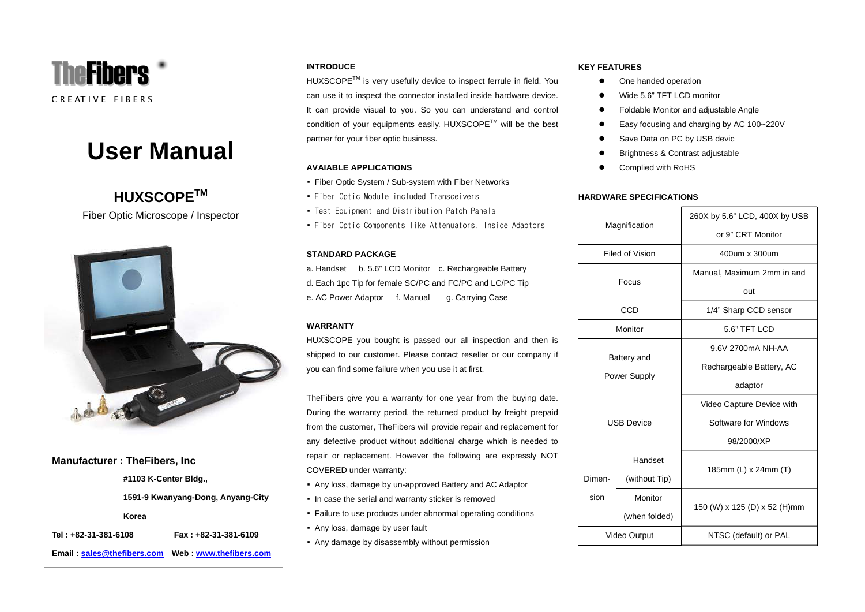

# **User Manual**

# **HUXSCOPETM**

Fiber Optic Microscope / Inspector



# **Manufacturer : TheFibers, Inc**

**#1103 K-Center Bldg.,**

**1591-9 Kwanyang-Dong, Anyang-City**

#### **Korea**

**Tel : +82-31-381-6108 Fax : +82-31-381-6109** 

**Email** : **[sales@thefibers.com](mailto:sales@thefibers.com) : <www.thefibers.com>**

# **INTRODUCE**

HUXSCOPE™ is very usefully device to inspect ferrule in field. You can use it to inspect the connector installed inside hardware device. It can provide visual to you. So you can understand and control condition of your equipments easily. HUXSCOPETM will be the best partner for your fiber optic business.

# **AVAIABLE APPLICATIONS**

- Fiber Optic System / Sub-system with Fiber Networks
- Fiber Optic Module included Transceivers
- Test Equipment and Distribution Patch Panels
- Fiber Optic Components like Attenuators, Inside Adaptors

# **STANDARD PACKAGE**

a. Handset b. 5.6" LCD Monitor c. Rechargeable Battery d. Each 1pc Tip for female SC/PC and FC/PC and LC/PC Tip e. AC Power Adaptor f. Manual g. Carrying Case

# **WARRANTY**

HUXSCOPE you bought is passed our all inspection and then is shipped to our customer. Please contact reseller or our company if you can find some failure when you use it at first.

TheFibers give you a warranty for one year from the buying date. During the warranty period, the returned product by freight prepaid from the customer, TheFibers will provide repair and replacement for any defective product without additional charge which is needed to repair or replacement. However the following are expressly NOT COVERED under warranty:

- Any loss, damage by un-approved Battery and AC Adaptor
- In case the serial and warranty sticker is removed
- Failure to use products under abnormal operating conditions
- Any loss, damage by user fault
- Any damage by disassembly without permission

# **KEY FEATURES**

- $\bullet$ One handed operation
- o Wide 5.6" TFT LCD monitor
- $\bullet$ Foldable Monitor and adjustable Angle
- $\bullet$ Easy focusing and charging by AC 100~220V
- $\bullet$ Save Data on PC by USB devic
- e Brightness & Contrast adjustable
- Complied with RoHS

# **HARDWARE SPECIFICATIONS**

| Magnification               |               | 260X by 5.6" LCD, 400X by USB |
|-----------------------------|---------------|-------------------------------|
|                             |               | or 9" CRT Monitor             |
| Filed of Vision             |               | 400um x 300um                 |
| Focus                       |               | Manual, Maximum 2mm in and    |
|                             |               | out                           |
| CCD                         |               | 1/4" Sharp CCD sensor         |
| Monitor                     |               | 5.6" TFT LCD                  |
|                             |               | 9.6V 2700mA NH-AA             |
| Battery and<br>Power Supply |               | Rechargeable Battery, AC      |
|                             |               | adaptor                       |
| <b>USB Device</b>           |               | Video Capture Device with     |
|                             |               | Software for Windows          |
|                             |               | 98/2000/XP                    |
| Dimen-<br>sion              | Handset       | 185mm (L) x 24mm (T)          |
|                             | (without Tip) |                               |
|                             | Monitor       | 150 (W) x 125 (D) x 52 (H)mm  |
|                             | (when folded) |                               |
| Video Output                |               | NTSC (default) or PAL         |